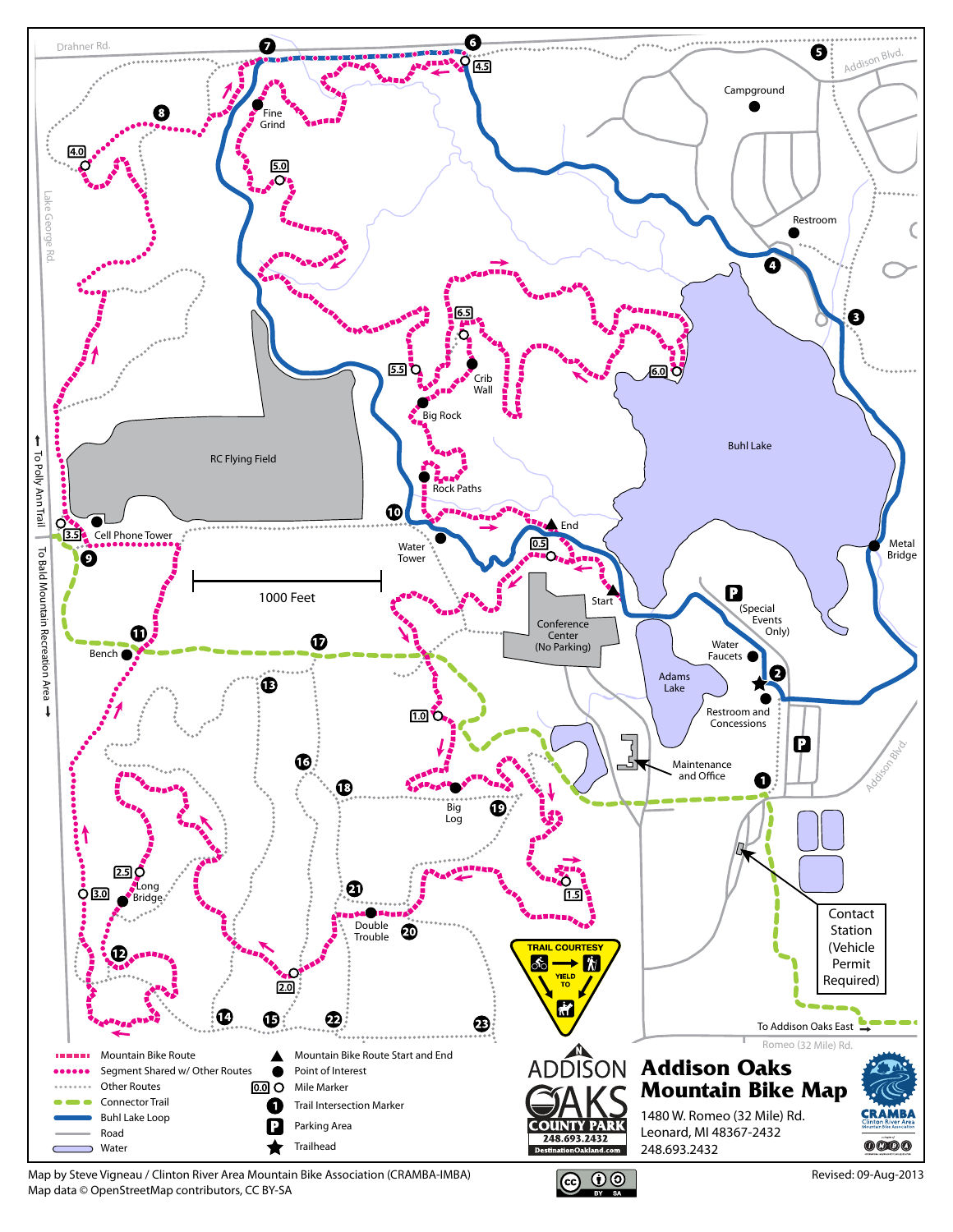

Map by Steve Vigneau / Clinton River Area Mountain Bike Association (CRAMBA-IMBA) Map data © OpenStreetMap contributors, CC BY-SA



Revised: 09-Aug-2013